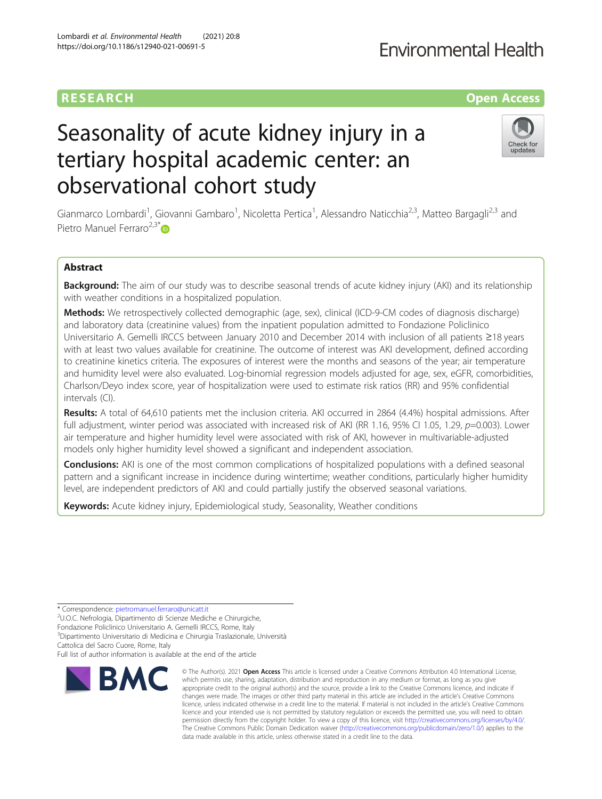## **RESEARCH CHE Open Access**

# Seasonality of acute kidney injury in a tertiary hospital academic center: an observational cohort study

Gianmarco Lombardi<sup>1</sup>, Giovanni Gambaro<sup>1</sup>, Nicoletta Pertica<sup>1</sup>, Alessandro Naticchia<sup>2,3</sup>, Matteo Bargagli<sup>2,3</sup> and Pietro Manuel Ferraro $2.3*$  $2.3*$ 

## Abstract

Background: The aim of our study was to describe seasonal trends of acute kidney injury (AKI) and its relationship with weather conditions in a hospitalized population.

Methods: We retrospectively collected demographic (age, sex), clinical (ICD-9-CM codes of diagnosis discharge) and laboratory data (creatinine values) from the inpatient population admitted to Fondazione Policlinico Universitario A. Gemelli IRCCS between January 2010 and December 2014 with inclusion of all patients ≥18 years with at least two values available for creatinine. The outcome of interest was AKI development, defined according to creatinine kinetics criteria. The exposures of interest were the months and seasons of the year; air temperature and humidity level were also evaluated. Log-binomial regression models adjusted for age, sex, eGFR, comorbidities, Charlson/Deyo index score, year of hospitalization were used to estimate risk ratios (RR) and 95% confidential intervals (CI).

Results: A total of 64,610 patients met the inclusion criteria. AKI occurred in 2864 (4.4%) hospital admissions. After full adjustment, winter period was associated with increased risk of AKI (RR 1.16, 95% CI 1.05, 1.29, p=0.003). Lower air temperature and higher humidity level were associated with risk of AKI, however in multivariable-adjusted models only higher humidity level showed a significant and independent association.

**Conclusions:** AKI is one of the most common complications of hospitalized populations with a defined seasonal pattern and a significant increase in incidence during wintertime; weather conditions, particularly higher humidity level, are independent predictors of AKI and could partially justify the observed seasonal variations.

data made available in this article, unless otherwise stated in a credit line to the data.

© The Author(s), 2021 **Open Access** This article is licensed under a Creative Commons Attribution 4.0 International License, which permits use, sharing, adaptation, distribution and reproduction in any medium or format, as long as you give

The Creative Commons Public Domain Dedication waiver [\(http://creativecommons.org/publicdomain/zero/1.0/](http://creativecommons.org/publicdomain/zero/1.0/)) applies to the

**Keywords:** Acute kidney injury, Epidemiological study, Seasonality, Weather conditions

\* Correspondence: [pietromanuel.ferraro@unicatt.it](mailto:pietromanuel.ferraro@unicatt.it) <sup>2</sup>

**RMC** 

U.O.C. Nefrologia, Dipartimento di Scienze Mediche e Chirurgiche,

Fondazione Policlinico Universitario A. Gemelli IRCCS, Rome, Italy

3 Dipartimento Universitario di Medicina e Chirurgia Traslazionale, Università

Cattolica del Sacro Cuore, Rome, Italy

Full list of author information is available at the end of the article

Check for updates



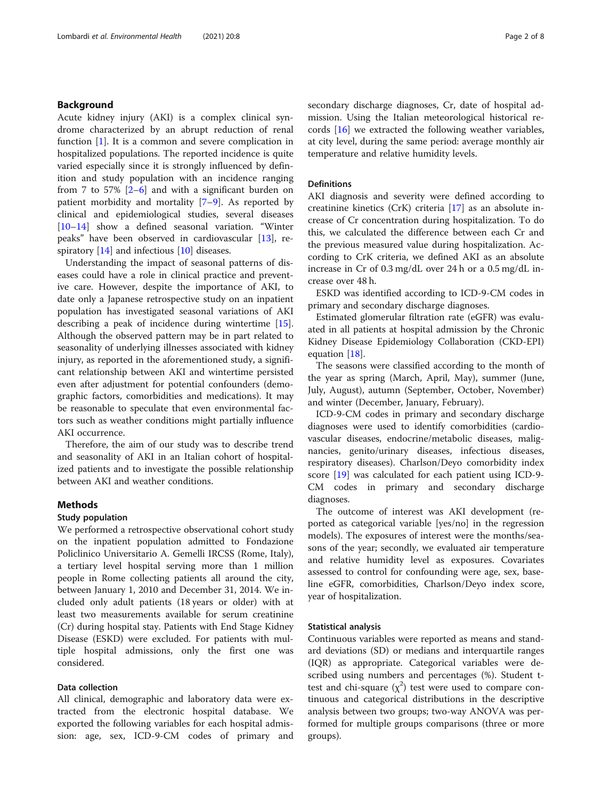#### Background

Acute kidney injury (AKI) is a complex clinical syndrome characterized by an abrupt reduction of renal function [[1\]](#page-7-0). It is a common and severe complication in hospitalized populations. The reported incidence is quite varied especially since it is strongly influenced by definition and study population with an incidence ranging from 7 to 57%  $[2-6]$  $[2-6]$  $[2-6]$  $[2-6]$  and with a significant burden on patient morbidity and mortality [[7](#page-7-0)–[9\]](#page-7-0). As reported by clinical and epidemiological studies, several diseases [[10](#page-7-0)–[14](#page-7-0)] show a defined seasonal variation. "Winter peaks" have been observed in cardiovascular [\[13](#page-7-0)], respiratory  $[14]$  $[14]$  and infectious  $[10]$  $[10]$  diseases.

Understanding the impact of seasonal patterns of diseases could have a role in clinical practice and preventive care. However, despite the importance of AKI, to date only a Japanese retrospective study on an inpatient population has investigated seasonal variations of AKI describing a peak of incidence during wintertime [\[15](#page-7-0)]. Although the observed pattern may be in part related to seasonality of underlying illnesses associated with kidney injury, as reported in the aforementioned study, a significant relationship between AKI and wintertime persisted even after adjustment for potential confounders (demographic factors, comorbidities and medications). It may be reasonable to speculate that even environmental factors such as weather conditions might partially influence AKI occurrence.

Therefore, the aim of our study was to describe trend and seasonality of AKI in an Italian cohort of hospitalized patients and to investigate the possible relationship between AKI and weather conditions.

#### Methods

## Study population

We performed a retrospective observational cohort study on the inpatient population admitted to Fondazione Policlinico Universitario A. Gemelli IRCSS (Rome, Italy), a tertiary level hospital serving more than 1 million people in Rome collecting patients all around the city, between January 1, 2010 and December 31, 2014. We included only adult patients (18 years or older) with at least two measurements available for serum creatinine (Cr) during hospital stay. Patients with End Stage Kidney Disease (ESKD) were excluded. For patients with multiple hospital admissions, only the first one was considered.

## Data collection

All clinical, demographic and laboratory data were extracted from the electronic hospital database. We exported the following variables for each hospital admission: age, sex, ICD-9-CM codes of primary and

secondary discharge diagnoses, Cr, date of hospital admission. Using the Italian meteorological historical records [[16\]](#page-7-0) we extracted the following weather variables, at city level, during the same period: average monthly air temperature and relative humidity levels.

## Definitions

AKI diagnosis and severity were defined according to creatinine kinetics (CrK) criteria [[17\]](#page-7-0) as an absolute increase of Cr concentration during hospitalization. To do this, we calculated the difference between each Cr and the previous measured value during hospitalization. According to CrK criteria, we defined AKI as an absolute increase in Cr of 0.3 mg/dL over 24 h or a 0.5 mg/dL increase over 48 h.

ESKD was identified according to ICD-9-CM codes in primary and secondary discharge diagnoses.

Estimated glomerular filtration rate (eGFR) was evaluated in all patients at hospital admission by the Chronic Kidney Disease Epidemiology Collaboration (CKD-EPI) equation [\[18](#page-7-0)].

The seasons were classified according to the month of the year as spring (March, April, May), summer (June, July, August), autumn (September, October, November) and winter (December, January, February).

ICD-9-CM codes in primary and secondary discharge diagnoses were used to identify comorbidities (cardiovascular diseases, endocrine/metabolic diseases, malignancies, genito/urinary diseases, infectious diseases, respiratory diseases). Charlson/Deyo comorbidity index score [\[19\]](#page-7-0) was calculated for each patient using ICD-9- CM codes in primary and secondary discharge diagnoses.

The outcome of interest was AKI development (reported as categorical variable [yes/no] in the regression models). The exposures of interest were the months/seasons of the year; secondly, we evaluated air temperature and relative humidity level as exposures. Covariates assessed to control for confounding were age, sex, baseline eGFR, comorbidities, Charlson/Deyo index score, year of hospitalization.

#### Statistical analysis

Continuous variables were reported as means and standard deviations (SD) or medians and interquartile ranges (IQR) as appropriate. Categorical variables were described using numbers and percentages (%). Student ttest and chi-square  $(\chi^2)$  test were used to compare continuous and categorical distributions in the descriptive analysis between two groups; two-way ANOVA was performed for multiple groups comparisons (three or more groups).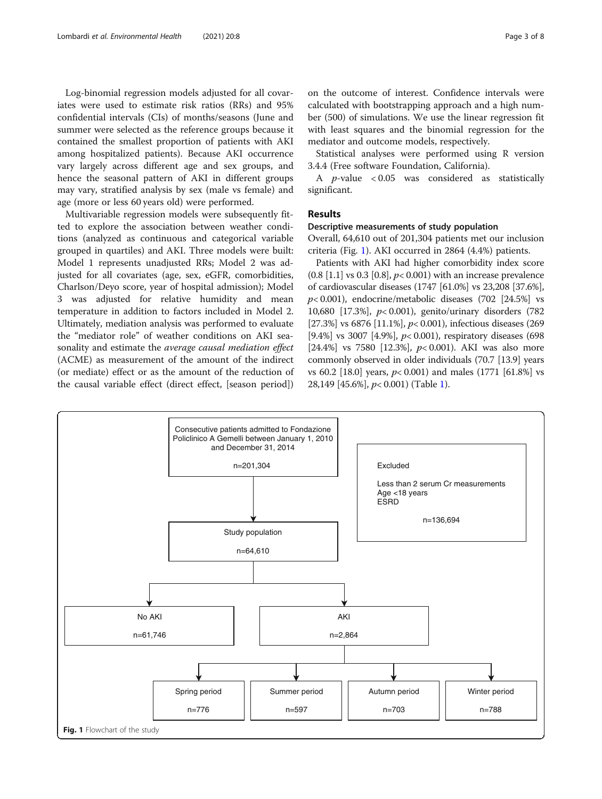Log-binomial regression models adjusted for all covariates were used to estimate risk ratios (RRs) and 95% confidential intervals (CIs) of months/seasons (June and summer were selected as the reference groups because it contained the smallest proportion of patients with AKI among hospitalized patients). Because AKI occurrence vary largely across different age and sex groups, and hence the seasonal pattern of AKI in different groups may vary, stratified analysis by sex (male vs female) and age (more or less 60 years old) were performed.

Multivariable regression models were subsequently fitted to explore the association between weather conditions (analyzed as continuous and categorical variable grouped in quartiles) and AKI. Three models were built: Model 1 represents unadjusted RRs; Model 2 was adjusted for all covariates (age, sex, eGFR, comorbidities, Charlson/Deyo score, year of hospital admission); Model 3 was adjusted for relative humidity and mean temperature in addition to factors included in Model 2. Ultimately, mediation analysis was performed to evaluate the "mediator role" of weather conditions on AKI seasonality and estimate the average causal mediation effect (ACME) as measurement of the amount of the indirect (or mediate) effect or as the amount of the reduction of the causal variable effect (direct effect, [season period])

on the outcome of interest. Confidence intervals were calculated with bootstrapping approach and a high number (500) of simulations. We use the linear regression fit with least squares and the binomial regression for the mediator and outcome models, respectively.

Statistical analyses were performed using R version 3.4.4 (Free software Foundation, California).

A p-value < 0.05 was considered as statistically significant.

## Results

## Descriptive measurements of study population

Overall, 64,610 out of 201,304 patients met our inclusion criteria (Fig. 1). AKI occurred in 2864 (4.4%) patients.

Patients with AKI had higher comorbidity index score  $(0.8 [1.1] \text{ vs } 0.3 [0.8], p < 0.001)$  with an increase prevalence of cardiovascular diseases (1747 [61.0%] vs 23,208 [37.6%],  $p$ < 0.001), endocrine/metabolic diseases (702 [24.5%] vs 10,680 [17.3%], p< 0.001), genito/urinary disorders (782 [27.3%] vs 6876 [11.1%],  $p$ < 0.001), infectious diseases (269) [9.4%] vs 3007 [4.9%],  $p$ < 0.001), respiratory diseases (698) [24.4%] vs 7580 [12.3%],  $p < 0.001$ ). AKI was also more commonly observed in older individuals (70.7 [13.9] years vs 60.2 [18.0] years,  $p < 0.001$ ) and males (1771 [61.8%] vs 28,149 [45.6%], p< 0.001) (Table [1\)](#page-3-0).

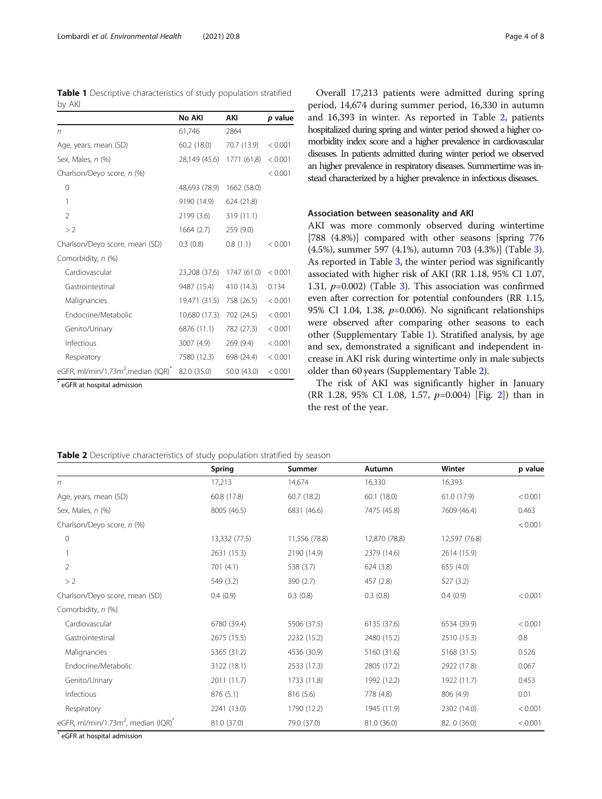<span id="page-3-0"></span>Table 1 Descriptive characteristics of study population stratified by AKI

|                                                             | No AKI        | AKI         | p value |
|-------------------------------------------------------------|---------------|-------------|---------|
| n                                                           | 61,746        | 2864        |         |
| Age, years, mean (SD)                                       | 60.2(18.0)    | 70.7 (13.9) | < 0.001 |
| Sex, Males, n (%)                                           | 28,149 (45.6) | 1771 (61.8) | < 0.001 |
| Charlson/Deyo score, n (%)                                  |               |             | < 0.001 |
| $\Omega$                                                    | 48,693 (78.9) | 1662 (58.0) |         |
| 1                                                           | 9190 (14.9)   | 624 (21.8)  |         |
| $\mathfrak{D}$                                              | 2199 (3.6)    | 319 (11.1)  |         |
| >2                                                          | 1664(2.7)     | 259 (9.0)   |         |
| Charlson/Deyo score, mean (SD)                              | 0.3(0.8)      | 0.8(1.1)    | < 0.001 |
| Comorbidity, n (%)                                          |               |             |         |
| Cardiovascular                                              | 23,208 (37.6) | 1747 (61.0) | < 0.001 |
| Gastrointestinal                                            | 9487 (15.4)   | 410 (14.3)  | 0.134   |
| Malignancies                                                | 19,471 (31.5) | 758 (26.5)  | < 0.001 |
| Endocrine/Metabolic                                         | 10,680 (17.3) | 702 (24.5)  | < 0.001 |
| Genito/Urinary                                              | 6876 (11.1)   | 782 (27.3)  | < 0.001 |
| Infectious                                                  | 3007 (4.9)    | 269 (9.4)   | < 0.001 |
| Respiratory                                                 | 7580 (12.3)   | 698 (24.4)  | < 0.001 |
| eGFR, ml/min/1.73m <sup>2</sup> , median (IQR) <sup>*</sup> | 82.0 (35.0)   | 50.0 (43.0) | < 0.001 |

eGFR at hospital admission

Overall 17,213 patients were admitted during spring period, 14,674 during summer period, 16,330 in autumn and 16,393 in winter. As reported in Table 2, patients hospitalized during spring and winter period showed a higher comorbidity index score and a higher prevalence in cardiovascular diseases. In patients admitted during winter period we observed an higher prevalence in respiratory diseases. Summertime was instead characterized by a higher prevalence in infectious diseases.

## Association between seasonality and AKI

AKI was more commonly observed during wintertime [788 (4.8%)] compared with other seasons [spring 776 (4.5%), summer 597 (4.1%), autumn 703 (4.3%)] (Table [3](#page-4-0)). As reported in Table [3,](#page-4-0) the winter period was significantly associated with higher risk of AKI (RR 1.18, 95% CI 1.07, 1.[3](#page-4-0)1,  $p=0.002$ ) (Table 3). This association was confirmed even after correction for potential confounders (RR 1.15, 95% CI 1.04, 1.38,  $p=0.006$ ). No significant relationships were observed after comparing other seasons to each other (Supplementary Table [1\)](#page-7-0). Stratified analysis, by age and sex, demonstrated a significant and independent increase in AKI risk during wintertime only in male subjects older than 60 years (Supplementary Table [2\)](#page-7-0).

The risk of AKI was significantly higher in January (RR 1.28, 95% CI 1.08, 1.57, p=0.004) [Fig. [2](#page-4-0)]) than in the rest of the year.

| Table 2 Descriptive characteristics of study population stratified by season |  |  |  |  |
|------------------------------------------------------------------------------|--|--|--|--|
|------------------------------------------------------------------------------|--|--|--|--|

|                                                             | Spring        | Summer        | Autumn        | Winter        | p value |
|-------------------------------------------------------------|---------------|---------------|---------------|---------------|---------|
|                                                             |               |               |               |               |         |
| n                                                           | 17,213        | 14,674        | 16,330        | 16,393        |         |
| Age, years, mean (SD)                                       | 60.8 (17.8)   | 60.7(18.2)    | 60.1(18.0)    | 61.0 (17.9)   | < 0.001 |
| Sex, Males, n (%)                                           | 8005 (46.5)   | 6831 (46.6)   | 7475 (45.8)   | 7609 (46.4)   | 0.463   |
| Charlson/Deyo score, n (%)                                  |               |               |               |               | < 0.001 |
| 0                                                           | 13,332 (77.5) | 11,556 (78.8) | 12,870 (78.8) | 12,597 (76.8) |         |
|                                                             | 2631 (15.3)   | 2190 (14.9)   | 2379 (14.6)   | 2614 (15.9)   |         |
| 2                                                           | 701(4.1)      | 538 (3.7)     | 624(3.8)      | 655 (4.0)     |         |
| >2                                                          | 549 (3.2)     | 390 (2.7)     | 457 (2.8)     | 527 (3.2)     |         |
| Charlson/Deyo score, mean (SD)                              | 0.4(0.9)      | 0.3(0.8)      | 0.3(0.8)      | 0.4(0.9)      | < 0.001 |
| Comorbidity, n (%)                                          |               |               |               |               |         |
| Cardiovascular                                              | 6780 (39.4)   | 5506 (37.5)   | 6135 (37.6)   | 6534 (39.9)   | < 0.001 |
| Gastrointestinal                                            | 2675 (15.5)   | 2232 (15.2)   | 2480 (15.2)   | 2510 (15.3)   | 0.8     |
| Malignancies                                                | 5365 (31.2)   | 4536 (30.9)   | 5160 (31.6)   | 5168 (31.5)   | 0.526   |
| Endocrine/Metabolic                                         | 3122 (18.1)   | 2533 (17.3)   | 2805 (17.2)   | 2922 (17.8)   | 0.067   |
| Genito/Urinary                                              | 2011 (11.7)   | 1733 (11.8)   | 1992 (12.2)   | 1922 (11.7)   | 0.453   |
| Infectious                                                  | 876 (5.1)     | 816 (5.6)     | 778 (4.8)     | 806 (4.9)     | 0.01    |
| Respiratory                                                 | 2241 (13.0)   | 1790 (12.2)   | 1945 (11.9)   | 2302 (14.0)   | < 0.001 |
| eGFR, ml/min/1.73m <sup>2</sup> , median (IQR) <sup>*</sup> | 81.0 (37.0)   | 79.0 (37.0)   | 81.0 (36.0)   | 82.0 (36.0)   | < 0.001 |

\* eGFR at hospital admission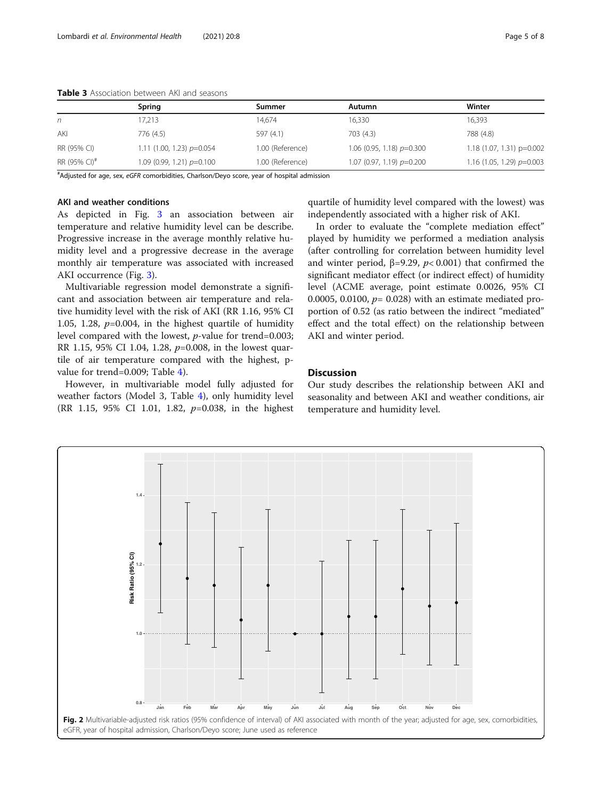|                          | Spring                        | Summer           | Autumn                        | Winter                      |
|--------------------------|-------------------------------|------------------|-------------------------------|-----------------------------|
| n                        | 17,213                        | 14.674           | 16,330                        | 16,393                      |
| AKI                      | 776 (4.5)                     | 597 (4.1)        | 703(4.3)                      | 788 (4.8)                   |
| RR (95% CI)              | 1.11 (1.00, 1.23) $p=0.054$   | 1.00 (Reference) | 1.06 (0.95, 1.18) $p=0.300$   | $1.18(1.07, 1.31)$ p=0.002  |
| RR (95% CI) <sup>#</sup> | $1.09$ (0.99, 1.21) $p=0.100$ | 1.00 (Reference) | $1.07$ (0.97, 1.19) $p=0.200$ | 1.16 (1.05, 1.29) $p=0.003$ |

<span id="page-4-0"></span>Table 3 Association between AKI and seasons

# Adjusted for age, sex, eGFR comorbidities, Charlson/Deyo score, year of hospital admission

## AKI and weather conditions

As depicted in Fig. [3](#page-5-0) an association between air temperature and relative humidity level can be describe. Progressive increase in the average monthly relative humidity level and a progressive decrease in the average monthly air temperature was associated with increased AKI occurrence (Fig. [3](#page-5-0)).

Multivariable regression model demonstrate a significant and association between air temperature and relative humidity level with the risk of AKI (RR 1.16, 95% CI 1.05, 1.28,  $p=0.004$ , in the highest quartile of humidity level compared with the lowest, p-value for trend=0.003; RR 1.15, 95% CI 1.04, 1.28, p=0.008, in the lowest quartile of air temperature compared with the highest, pvalue for trend=0.009; Table [4\)](#page-6-0).

However, in multivariable model fully adjusted for weather factors (Model 3, Table [4\)](#page-6-0), only humidity level (RR 1.15, 95% CI 1.01, 1.82, p=0.038, in the highest

quartile of humidity level compared with the lowest) was independently associated with a higher risk of AKI.

In order to evaluate the "complete mediation effect" played by humidity we performed a mediation analysis (after controlling for correlation between humidity level and winter period,  $β=9.29$ ,  $p<0.001$ ) that confirmed the significant mediator effect (or indirect effect) of humidity level (ACME average, point estimate 0.0026, 95% CI 0.0005, 0.0100,  $p = 0.028$ ) with an estimate mediated proportion of 0.52 (as ratio between the indirect "mediated" effect and the total effect) on the relationship between AKI and winter period.

## **Discussion**

Our study describes the relationship between AKI and seasonality and between AKI and weather conditions, air temperature and humidity level.

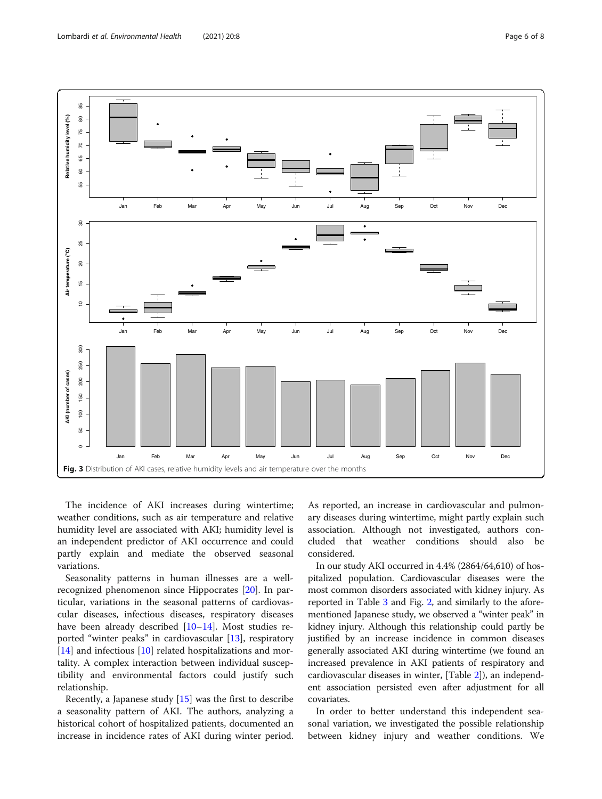<span id="page-5-0"></span>

The incidence of AKI increases during wintertime; weather conditions, such as air temperature and relative humidity level are associated with AKI; humidity level is an independent predictor of AKI occurrence and could partly explain and mediate the observed seasonal variations.

Seasonality patterns in human illnesses are a wellrecognized phenomenon since Hippocrates [[20](#page-7-0)]. In particular, variations in the seasonal patterns of cardiovascular diseases, infectious diseases, respiratory diseases have been already described [\[10](#page-7-0)–[14](#page-7-0)]. Most studies reported "winter peaks" in cardiovascular [[13](#page-7-0)], respiratory [[14\]](#page-7-0) and infectious [\[10](#page-7-0)] related hospitalizations and mortality. A complex interaction between individual susceptibility and environmental factors could justify such relationship.

Recently, a Japanese study [[15](#page-7-0)] was the first to describe a seasonality pattern of AKI. The authors, analyzing a historical cohort of hospitalized patients, documented an increase in incidence rates of AKI during winter period. As reported, an increase in cardiovascular and pulmonary diseases during wintertime, might partly explain such association. Although not investigated, authors concluded that weather conditions should also be considered.

In our study AKI occurred in 4.4% (2864/64,610) of hospitalized population. Cardiovascular diseases were the most common disorders associated with kidney injury. As reported in Table [3](#page-4-0) and Fig. [2](#page-4-0), and similarly to the aforementioned Japanese study, we observed a "winter peak" in kidney injury. Although this relationship could partly be justified by an increase incidence in common diseases generally associated AKI during wintertime (we found an increased prevalence in AKI patients of respiratory and cardiovascular diseases in winter, [Table [2](#page-3-0)]), an independent association persisted even after adjustment for all covariates.

In order to better understand this independent seasonal variation, we investigated the possible relationship between kidney injury and weather conditions. We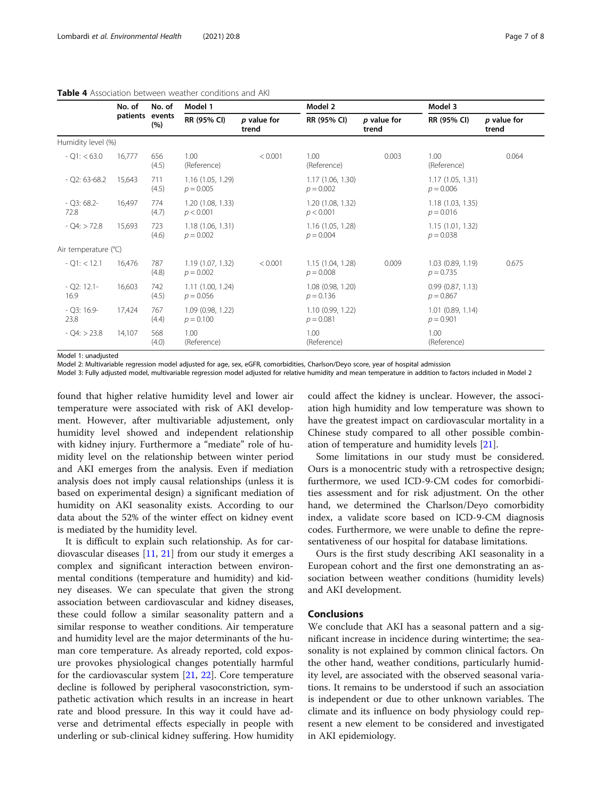|                          | No. of   | No. of<br>events<br>(%) | Model 1                         |                      | Model 2                          |                      |                                    | Model 3              |  |
|--------------------------|----------|-------------------------|---------------------------------|----------------------|----------------------------------|----------------------|------------------------------------|----------------------|--|
|                          | patients |                         | RR (95% CI)                     | p value for<br>trend | RR (95% CI)                      | p value for<br>trend | RR (95% CI)                        | p value for<br>trend |  |
| Humidity level (%)       |          |                         |                                 |                      |                                  |                      |                                    |                      |  |
| $-$ O1: $<$ 63.0         | 16,777   | 656<br>(4.5)            | 1.00<br>(Reference)             | < 0.001              | 1.00<br>(Reference)              | 0.003                | 1.00<br>(Reference)                | 0.064                |  |
| $-$ Q2: 63-68.2          | 15,643   | 711<br>(4.5)            | 1.16(1.05, 1.29)<br>$p = 0.005$ |                      | 1.17 (1.06, 1.30)<br>$p = 0.002$ |                      | 1.17(1.05, 1.31)<br>$p = 0.006$    |                      |  |
| $-Q3:68.2-$<br>72.8      | 16.497   | 774<br>(4.7)            | 1.20(1.08, 1.33)<br>p < 0.001   |                      | 1.20 (1.08, 1.32)<br>p < 0.001   |                      | 1.18(1.03, 1.35)<br>$p = 0.016$    |                      |  |
| $-Q4:$ > 72.8            | 15,693   | 723<br>(4.6)            | 1.18(1.06, 1.31)<br>$p = 0.002$ |                      | 1.16 (1.05, 1.28)<br>$p = 0.004$ |                      | 1.15(1.01, 1.32)<br>$p = 0.038$    |                      |  |
| Air temperature (°C)     |          |                         |                                 |                      |                                  |                      |                                    |                      |  |
| $-Q1:$ < 12.1            | 16,476   | 787<br>(4.8)            | 1.19(1.07, 1.32)<br>$p = 0.002$ | < 0.001              | 1.15 (1.04, 1.28)<br>$p = 0.008$ | 0.009                | 1.03(0.89, 1.19)<br>$p = 0.735$    | 0.675                |  |
| $-$ Q2: 12.1 $-$<br>16.9 | 16,603   | 742<br>(4.5)            | 1.11(1.00, 1.24)<br>$p = 0.056$ |                      | 1.08 (0.98, 1.20)<br>$p = 0.136$ |                      | 0.99(0.87, 1.13)<br>$p = 0.867$    |                      |  |
| $-$ Q3: 16.9-<br>23.8    | 17,424   | 767<br>(4.4)            | 1.09(0.98, 1.22)<br>$p = 0.100$ |                      | 1.10 (0.99, 1.22)<br>$p = 0.081$ |                      | $1.01$ (0.89, 1.14)<br>$p = 0.901$ |                      |  |
| $-$ O4: $>$ 23.8         | 14,107   | 568<br>(4.0)            | 1.00<br>(Reference)             |                      | 1.00<br>(Reference)              |                      | 1.00<br>(Reference)                |                      |  |

## <span id="page-6-0"></span>Table 4 Association between weather conditions and AKI

Model 1: unadjusted

Model 2: Multivariable regression model adjusted for age, sex, eGFR, comorbidities, Charlson/Deyo score, year of hospital admission

Model 3: Fully adjusted model, multivariable regression model adjusted for relative humidity and mean temperature in addition to factors included in Model 2

found that higher relative humidity level and lower air temperature were associated with risk of AKI development. However, after multivariable adjustement, only humidity level showed and independent relationship with kidney injury. Furthermore a "mediate" role of humidity level on the relationship between winter period and AKI emerges from the analysis. Even if mediation analysis does not imply causal relationships (unless it is based on experimental design) a significant mediation of humidity on AKI seasonality exists. According to our data about the 52% of the winter effect on kidney event is mediated by the humidity level.

It is difficult to explain such relationship. As for cardiovascular diseases [\[11](#page-7-0), [21](#page-7-0)] from our study it emerges a complex and significant interaction between environmental conditions (temperature and humidity) and kidney diseases. We can speculate that given the strong association between cardiovascular and kidney diseases, these could follow a similar seasonality pattern and a similar response to weather conditions. Air temperature and humidity level are the major determinants of the human core temperature. As already reported, cold exposure provokes physiological changes potentially harmful for the cardiovascular system [[21](#page-7-0), [22\]](#page-7-0). Core temperature decline is followed by peripheral vasoconstriction, sympathetic activation which results in an increase in heart rate and blood pressure. In this way it could have adverse and detrimental effects especially in people with underling or sub-clinical kidney suffering. How humidity

could affect the kidney is unclear. However, the association high humidity and low temperature was shown to have the greatest impact on cardiovascular mortality in a Chinese study compared to all other possible combination of temperature and humidity levels [\[21\]](#page-7-0).

Some limitations in our study must be considered. Ours is a monocentric study with a retrospective design; furthermore, we used ICD-9-CM codes for comorbidities assessment and for risk adjustment. On the other hand, we determined the Charlson/Deyo comorbidity index, a validate score based on ICD-9-CM diagnosis codes. Furthermore, we were unable to define the representativeness of our hospital for database limitations.

Ours is the first study describing AKI seasonality in a European cohort and the first one demonstrating an association between weather conditions (humidity levels) and AKI development.

## **Conclusions**

We conclude that AKI has a seasonal pattern and a significant increase in incidence during wintertime; the seasonality is not explained by common clinical factors. On the other hand, weather conditions, particularly humidity level, are associated with the observed seasonal variations. It remains to be understood if such an association is independent or due to other unknown variables. The climate and its influence on body physiology could represent a new element to be considered and investigated in AKI epidemiology.